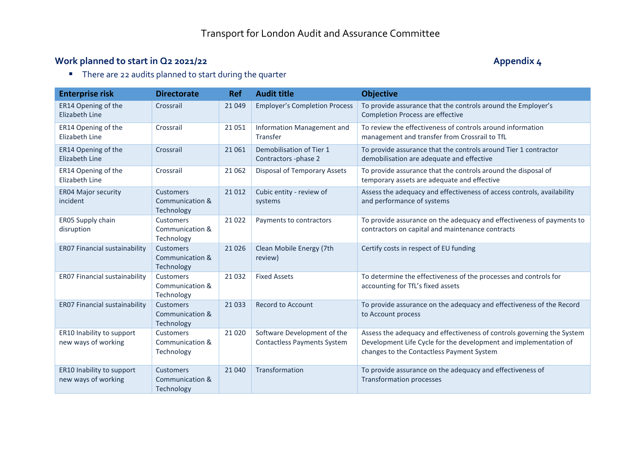## **Work planned to start in Q2 2021/22 Appendix 4**

**There are 22 audits planned to start during the quarter** 

| <b>Enterprise risk</b>                           | <b>Directorate</b>                         | <b>Ref</b> | <b>Audit title</b>                                                | <b>Objective</b>                                                                                                                                                                        |
|--------------------------------------------------|--------------------------------------------|------------|-------------------------------------------------------------------|-----------------------------------------------------------------------------------------------------------------------------------------------------------------------------------------|
| ER14 Opening of the<br>Elizabeth Line            | Crossrail                                  | 21 0 49    | <b>Employer's Completion Process</b>                              | To provide assurance that the controls around the Employer's<br><b>Completion Process are effective</b>                                                                                 |
| ER14 Opening of the<br>Elizabeth Line            | Crossrail                                  | 21 0 51    | Information Management and<br>Transfer                            | To review the effectiveness of controls around information<br>management and transfer from Crossrail to TfL                                                                             |
| ER14 Opening of the<br>Elizabeth Line            | Crossrail                                  | 21 0 61    | Demobilisation of Tier 1<br>Contractors -phase 2                  | To provide assurance that the controls around Tier 1 contractor<br>demobilisation are adequate and effective                                                                            |
| ER14 Opening of the<br>Elizabeth Line            | Crossrail                                  | 21 0 62    | Disposal of Temporary Assets                                      | To provide assurance that the controls around the disposal of<br>temporary assets are adequate and effective                                                                            |
| <b>ER04 Major security</b><br>incident           | Customers<br>Communication &<br>Technology | 21 0 12    | Cubic entity - review of<br>systems                               | Assess the adequacy and effectiveness of access controls, availability<br>and performance of systems                                                                                    |
| ER05 Supply chain<br>disruption                  | Customers<br>Communication &<br>Technology | 21 0 22    | Payments to contractors                                           | To provide assurance on the adequacy and effectiveness of payments to<br>contractors on capital and maintenance contracts                                                               |
| ER07 Financial sustainability                    | Customers<br>Communication &<br>Technology | 21 0 26    | Clean Mobile Energy (7th<br>review)                               | Certify costs in respect of EU funding                                                                                                                                                  |
| ER07 Financial sustainability                    | Customers<br>Communication &<br>Technology | 21 0 32    | <b>Fixed Assets</b>                                               | To determine the effectiveness of the processes and controls for<br>accounting for TfL's fixed assets                                                                                   |
| ER07 Financial sustainability                    | Customers<br>Communication &<br>Technology | 21 0 33    | <b>Record to Account</b>                                          | To provide assurance on the adequacy and effectiveness of the Record<br>to Account process                                                                                              |
| ER10 Inability to support<br>new ways of working | Customers<br>Communication &<br>Technology | 21 0 20    | Software Development of the<br><b>Contactless Payments System</b> | Assess the adequacy and effectiveness of controls governing the System<br>Development Life Cycle for the development and implementation of<br>changes to the Contactless Payment System |
| ER10 Inability to support<br>new ways of working | Customers<br>Communication &<br>Technology | 21 040     | Transformation                                                    | To provide assurance on the adequacy and effectiveness of<br><b>Transformation processes</b>                                                                                            |